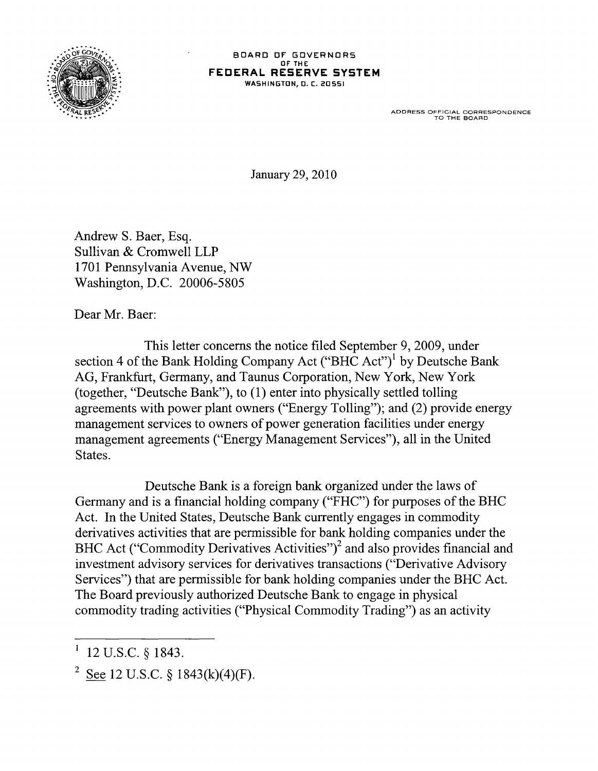

## BOARD OF GOVERNORS OF' THE **FEDERAL RESERVE SYSTEM**  WASHINGTON, D. C. 20551

ADDRESS OFFICIAL CORRESPONDENCE TO THE BOARD

January 29,2010

Andrew S. Baer, Esq. Sullivan & Cromwell LLP 1701 Pennsylvania Avenue, NW Washington, D.C. 20006-5805

Dear Mr. Baer:

This letter concerns the notice filed September 9, 2009, under section 4 of the Bank Holding Company Act ("BHC Act")<sup>1</sup> by Deutsche Bank AG, Frankfurt, Germany, and Taunus Corporation, New York, New York (together, "Deutsche Bank"), to (1) enter into physically settled tolling agreements with power plant owners ("Energy Tolling"); and (2) provide energy management services to owners of power generation facilities under energy management agreements ("Energy Management Services"), all in the United States.

Deutsche Bank is a foreign bank organized under the laws of Germany and is a financial holding company ("FHC") for purposes of the BHC Act. In the United States, Deutsche Bank currently engages in commodity derivatives activities that are permissible for bank holding companies under the BHC Act ("Commodity Derivatives Activities")<sup>2</sup> and also provides financial and investment advisory services for derivatives transactions ("Derivative Advisory Services") that are permissible for bank holding companies under the BHC Act. The Board previously authorized Deutsche Bank to engage in physical commodity trading activities ("Physical Commodity Trading") as an activity

<sup>12</sup> U.S.C. § 1843.

<sup>&</sup>lt;sup>2</sup> See 12 U.S.C. § 1843(k)(4)(F).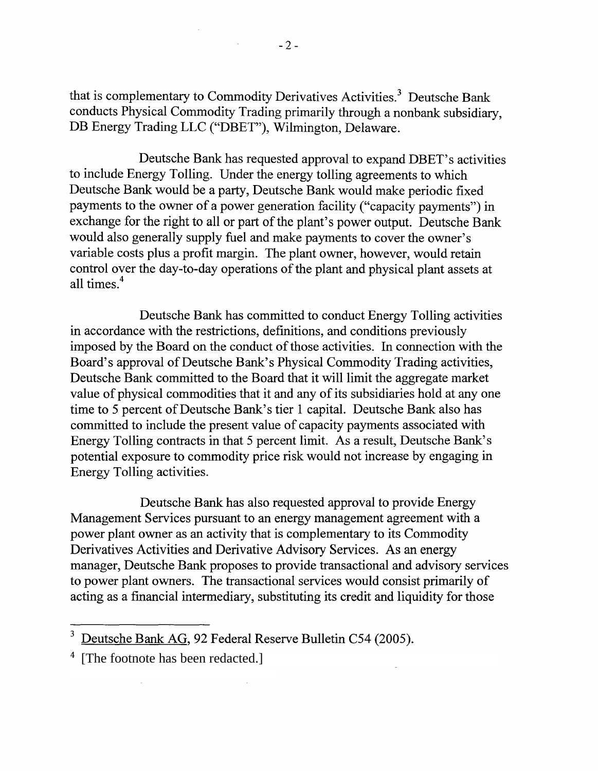that is complementary to Commodity Derivatives Activities. 3 Deutsche Bank conducts Physical Commodity Trading primarily through a nonbank subsidiary, DB Energy Trading LLC ("DBET"), Wilmington, Delaware.

Deutsche Bank has requested approval to expand DBET's activities to include Energy Tolling. Under the energy tolling agreements to which Deutsche Bank would be a party, Deutsche Bank would make periodic fixed payments to the owner of a power generation facility ("capacity payments") in exchange for the right to all or part of the plant's power output. Deutsche Bank would also generally supply fuel and make payments to cover the owner's variable costs plus a profit margin. The plant owner, however, would retain control over the day-to-day operations of the plant and physical plant assets at all times<sup>4</sup>

Deutsche Bank has committed to conduct Energy Tolling activities in accordance with the restrictions, definitions, and conditions previously imposed by the Board on the conduct of those activities. In connection with the Board's approval of Deutsche Bank's Physical Commodity Trading activities, Deutsche Bank committed to the Board that it will limit the aggregate market value of physical commodities that it and any of its subsidiaries hold at any one time to 5 percent of Deutsche Bank's tier 1 capital. Deutsche Bank also has committed to include the present value of capacity payments associated with Energy Tolling contracts in that 5 percent limit. As a result, Deutsche Bank's potential exposure to commodity price risk would not increase by engaging in Energy Tolling activities.

Deutsche Bank has also requested approval to provide Energy Management Services pursuant to an energy management agreement with a power plant owner as an activity that is complementary to its Commodity Derivatives Activities and Derivative Advisory Services. As an energy manager, Deutsche Bank proposes to provide transactional and advisory services to power plant owners. The transactional services would consist primarily of acting as a financial intermediary, substituting its credit and liquidity for those

 $\mathcal{L}$ 

 $\sim 10^7$ 

<sup>&</sup>lt;sup>3</sup> Deutsche Bank AG, 92 Federal Reserve Bulletin C54 (2005).

<sup>&</sup>lt;sup>4</sup> [The footnote has been redacted.]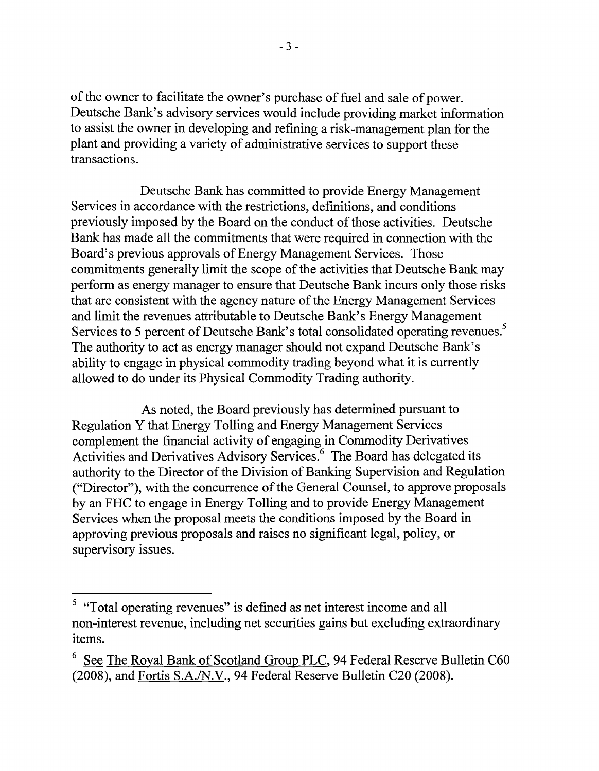of the owner to facilitate the owner's purchase of fuel and sale of power. Deutsche Bank's advisory services would include providing market information to assist the owner in developing and refining a risk-management plan for the plant and providing a variety of administrative services to support these transactions.

Deutsche Bank has committed to provide Energy Management Services in accordance with the restrictions, definitions, and conditions previously imposed by the Board on the conduct of those activities. Deutsche Bank has made all the commitments that were required in connection with the Board's previous approvals of Energy Management Services. Those commitments generally limit the scope of the activities that Deutsche Bank may perform as energy manager to ensure that Deutsche Bank incurs only those risks that are consistent with the agency nature of the Energy Management Services and limit the revenues attributable to Deutsche Bank's Energy Management Services to 5 percent of Deutsche Bank's total consolidated operating revenues.<sup>5</sup> The authority to act as energy manager should not expand Deutsche Bank's ability to engage in physical commodity trading beyond what it is currently allowed to do under its Physical Commodity Trading authority.

As noted, the Board previously has determined pursuant to Regulation Y that Energy Tolling and Energy Management Services complement the financial activity of engaging in Commodity Derivatives Activities and Derivatives Advisory Services.<sup>6</sup> The Board has delegated its authority to the Director of the Division of Banking Supervision and Regulation ("Director"), with the concurrence of the General Counsel, to approve proposals by an FHC to engage in Energy Tolling and to provide Energy Management Services when the proposal meets the conditions imposed by the Board in approving previous proposals and raises no significant legal, policy, or supervisory issues.

<sup>&</sup>lt;sup>5</sup> "Total operating revenues" is defined as net interest income and all non-interest revenue, including net securities gains but excluding extraordinary items.

See The Royal Bank of Scotland Group PLC, 94 Federal Reserve Bulletin C60 (2008), and Fortis S.A./N.V., 94 Federal Reserve Bulletin C20 (2008).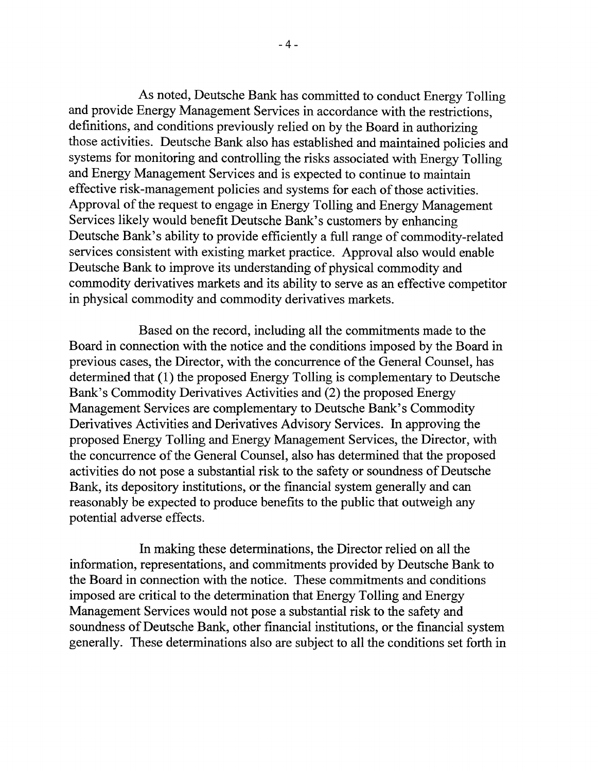As noted, Deutsche Bank has committed to conduct Energy Tolling and provide Energy Management Services in accordance with the restrictions, definitions, and conditions previously relied on by the Board in authorizing those activities. Deutsche Bank also has established and maintained policies and systems for monitoring and controlling the risks associated with Energy Tolling and Energy Management Services and is expected to continue to maintain effective risk-management policies and systems for each of those activities. Approval of the request to engage in Energy Tolling and Energy Management Services likely would benefit Deutsche Bank's customers by enhancing Deutsche Bank's ability to provide efficiently a full range of commodity-related services consistent with existing market practice. Approval also would enable Deutsche Bank to improve its understanding of physical commodity and commodity derivatives markets and its ability to serve as an effective competitor in physical commodity and commodity derivatives markets.

Based on the record, including all the commitments made to the Board in connection with the notice and the conditions imposed by the Board in previous cases, the Director, with the concurrence of the General Counsel, has determined that (1) the proposed Energy Tolling is complementary to Deutsche Bank's Commodity Derivatives Activities and (2) the proposed Energy Management Services are complementary to Deutsche Bank's Commodity Derivatives Activities and Derivatives Advisory Services. In approving the proposed Energy Tolling and Energy Management Services, the Director, with the concurrence of the General Counsel, also has determined that the proposed activities do not pose a substantial risk to the safety or soundness of Deutsche Bank, its depository institutions, or the financial system generally and can reasonably be expected to produce benefits to the public that outweigh any potential adverse effects.

In making these determinations, the Director relied on all the information, representations, and commitments provided by Deutsche Bank to the Board in connection with the notice. These commitments and conditions imposed are critical to the determination that Energy Tolling and Energy Management Services would not pose a substantial risk to the safety and soundness of Deutsche Bank, other financial institutions, or the financial system generally. These determinations also are subject to all the conditions set forth in